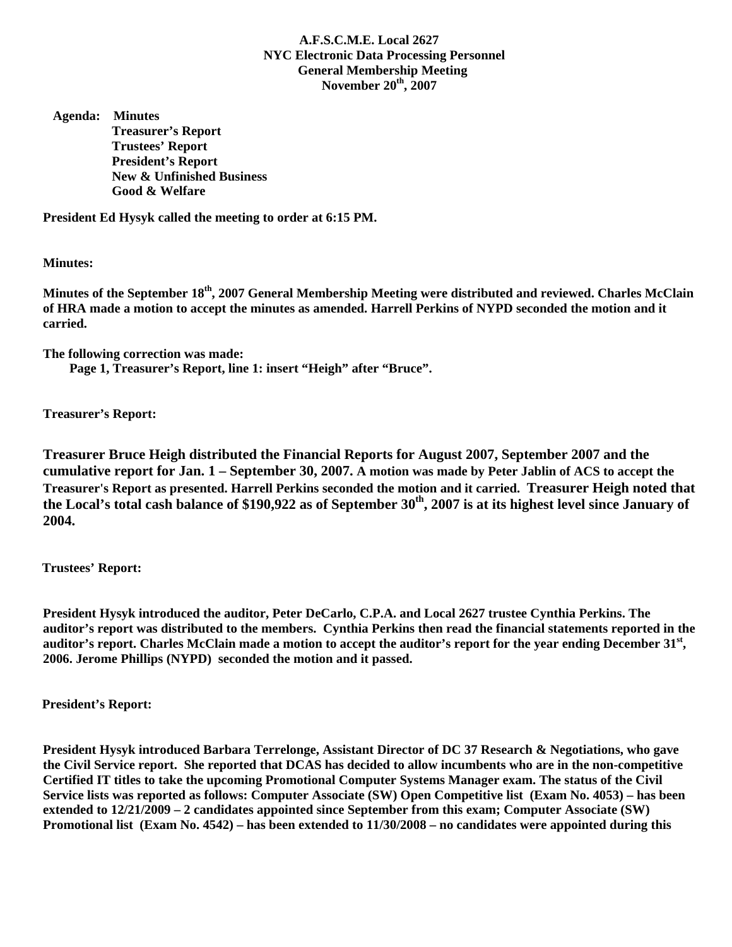## **A.F.S.C.M.E. Local 2627 NYC Electronic Data Processing Personnel General Membership Meeting November 20th, 2007**

 **Agenda: Minutes Treasurer's Report Trustees' Report President's Report New & Unfinished Business Good & Welfare** 

**President Ed Hysyk called the meeting to order at 6:15 PM.** 

**Minutes:** 

**Minutes of the September 18th, 2007 General Membership Meeting were distributed and reviewed. Charles McClain of HRA made a motion to accept the minutes as amended. Harrell Perkins of NYPD seconded the motion and it carried.** 

**The following correction was made:** 

 **Page 1, Treasurer's Report, line 1: insert "Heigh" after "Bruce".** 

**Treasurer's Report:** 

**Treasurer Bruce Heigh distributed the Financial Reports for August 2007, September 2007 and the cumulative report for Jan. 1 – September 30, 2007. A motion was made by Peter Jablin of ACS to accept the Treasurer's Report as presented. Harrell Perkins seconded the motion and it carried. Treasurer Heigh noted that**  the Local's total cash balance of \$190,922 as of September 30<sup>th</sup>, 2007 is at its highest level since January of **2004.** 

 **Trustees' Report:** 

**President Hysyk introduced the auditor, Peter DeCarlo, C.P.A. and Local 2627 trustee Cynthia Perkins. The auditor's report was distributed to the members. Cynthia Perkins then read the financial statements reported in the auditor's report. Charles McClain made a motion to accept the auditor's report for the year ending December 31st, 2006. Jerome Phillips (NYPD) seconded the motion and it passed.** 

 **President's Report:** 

**President Hysyk introduced Barbara Terrelonge, Assistant Director of DC 37 Research & Negotiations, who gave the Civil Service report. She reported that DCAS has decided to allow incumbents who are in the non-competitive Certified IT titles to take the upcoming Promotional Computer Systems Manager exam. The status of the Civil Service lists was reported as follows: Computer Associate (SW) Open Competitive list (Exam No. 4053) – has been extended to 12/21/2009 – 2 candidates appointed since September from this exam; Computer Associate (SW) Promotional list (Exam No. 4542) – has been extended to 11/30/2008 – no candidates were appointed during this**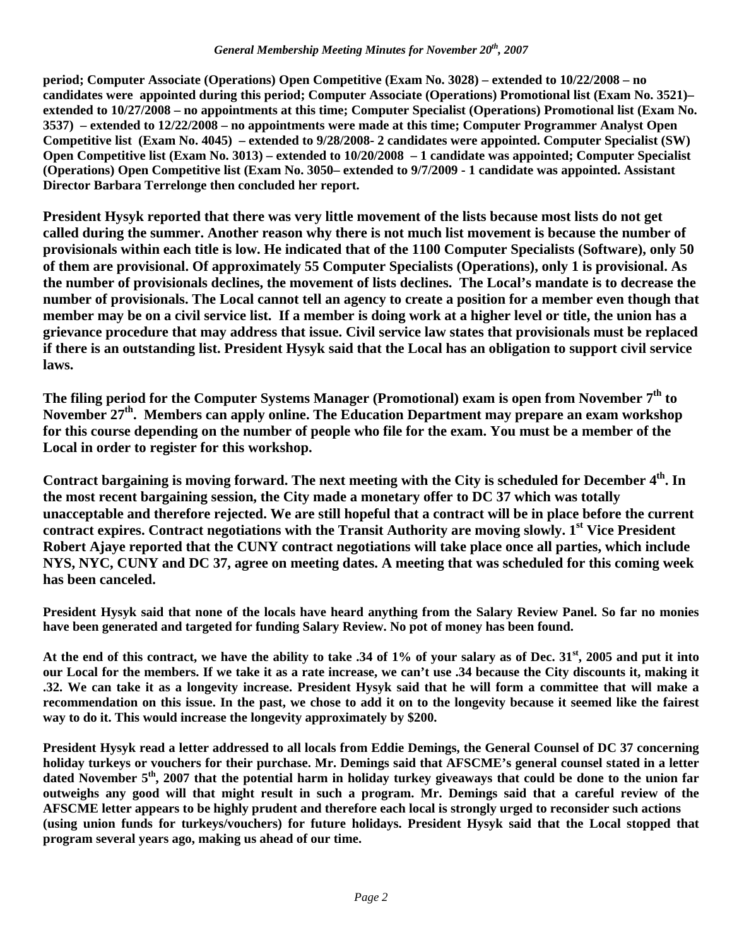## *General Membership Meeting Minutes for November 20th, 2007*

**period; Computer Associate (Operations) Open Competitive (Exam No. 3028) – extended to 10/22/2008 – no candidates were appointed during this period; Computer Associate (Operations) Promotional list (Exam No. 3521)– extended to 10/27/2008 – no appointments at this time; Computer Specialist (Operations) Promotional list (Exam No. 3537) – extended to 12/22/2008 – no appointments were made at this time; Computer Programmer Analyst Open Competitive list (Exam No. 4045) – extended to 9/28/2008- 2 candidates were appointed. Computer Specialist (SW) Open Competitive list (Exam No. 3013) – extended to 10/20/2008 – 1 candidate was appointed; Computer Specialist (Operations) Open Competitive list (Exam No. 3050– extended to 9/7/2009 - 1 candidate was appointed. Assistant Director Barbara Terrelonge then concluded her report.** 

**President Hysyk reported that there was very little movement of the lists because most lists do not get called during the summer. Another reason why there is not much list movement is because the number of provisionals within each title is low. He indicated that of the 1100 Computer Specialists (Software), only 50 of them are provisional. Of approximately 55 Computer Specialists (Operations), only 1 is provisional. As the number of provisionals declines, the movement of lists declines. The Local's mandate is to decrease the number of provisionals. The Local cannot tell an agency to create a position for a member even though that member may be on a civil service list. If a member is doing work at a higher level or title, the union has a grievance procedure that may address that issue. Civil service law states that provisionals must be replaced if there is an outstanding list. President Hysyk said that the Local has an obligation to support civil service laws.** 

The filing period for the Computer Systems Manager (Promotional) exam is open from November 7<sup>th</sup> to November 27<sup>th</sup>. Members can apply online. The Education Department may prepare an exam workshop **for this course depending on the number of people who file for the exam. You must be a member of the Local in order to register for this workshop.** 

Contract bargaining is moving forward. The next meeting with the City is scheduled for December 4<sup>th</sup>. In **the most recent bargaining session, the City made a monetary offer to DC 37 which was totally unacceptable and therefore rejected. We are still hopeful that a contract will be in place before the current**  contract expires. Contract negotiations with the Transit Authority are moving slowly. 1<sup>st</sup> Vice President **Robert Ajaye reported that the CUNY contract negotiations will take place once all parties, which include NYS, NYC, CUNY and DC 37, agree on meeting dates. A meeting that was scheduled for this coming week has been canceled.** 

**President Hysyk said that none of the locals have heard anything from the Salary Review Panel. So far no monies have been generated and targeted for funding Salary Review. No pot of money has been found.** 

**At the end of this contract, we have the ability to take .34 of 1% of your salary as of Dec. 31st, 2005 and put it into our Local for the members. If we take it as a rate increase, we can't use .34 because the City discounts it, making it .32. We can take it as a longevity increase. President Hysyk said that he will form a committee that will make a recommendation on this issue. In the past, we chose to add it on to the longevity because it seemed like the fairest way to do it. This would increase the longevity approximately by \$200.** 

**President Hysyk read a letter addressed to all locals from Eddie Demings, the General Counsel of DC 37 concerning holiday turkeys or vouchers for their purchase. Mr. Demings said that AFSCME's general counsel stated in a letter dated November 5th, 2007 that the potential harm in holiday turkey giveaways that could be done to the union far outweighs any good will that might result in such a program. Mr. Demings said that a careful review of the AFSCME letter appears to be highly prudent and therefore each local is strongly urged to reconsider such actions (using union funds for turkeys/vouchers) for future holidays. President Hysyk said that the Local stopped that program several years ago, making us ahead of our time.**